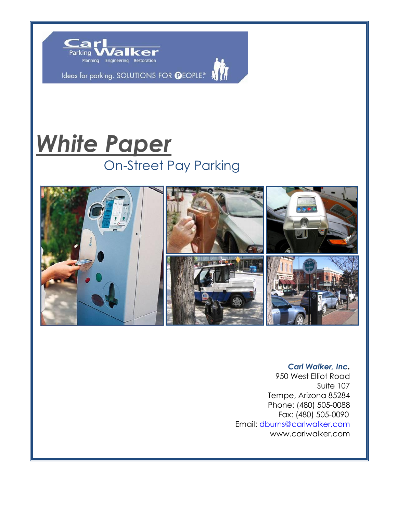

Ideas for parking. SOLUTIONS FOR **O**EOPLE. A



# *White Paper* On-Street Pay Parking



## *Carl Walker, Inc.*

950 West Elliot Road Suite 107 Tempe, Arizona 85284 Phone: (480) 505-0088 Fax: (480) 505-0090 Email: [dburns@carlwalker.com](mailto:dburns@carlwalker.com) www.carlwalker.com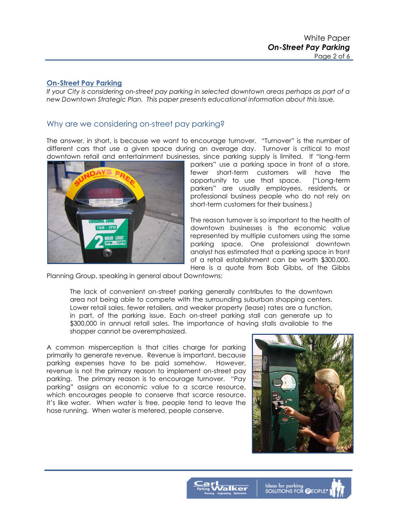#### **On-Street Pay Parking**

*If your City is considering on-street pay parking in selected downtown areas perhaps as part of a new Downtown Strategic Plan. This paper presents educational information about this issue.* 

## Why are we considering on-street pay parking?

The answer, in short, is because we want to encourage turnover. "Turnover" is the number of different cars that use a given space during an average day. Turnover is critical to most downtown retail and entertainment businesses, since parking supply is limited. If "long-term



parkers" use a parking space in front of a store, fewer short-term customers will have the opportunity to use that space. ("Long-term parkers" are usually employees, residents, or professional business people who do not rely on short-term customers for their business.)

The reason turnover is so important to the health of downtown businesses is the economic value represented by multiple customers using the same parking space. One professional downtown analyst has estimated that a parking space in front of a retail establishment can be worth \$300,000. Here is a quote from Bob Gibbs, of the Gibbs

Planning Group, speaking in general about Downtowns:

The lack of convenient on-street parking generally contributes to the downtown area not being able to compete with the surrounding suburban shopping centers. Lower retail sales, fewer retailers, and weaker property (lease) rates are a function, in part, of the parking issue. Each on-street parking stall can generate up to \$300,000 in annual retail sales. The importance of having stalls available to the shopper cannot be overemphasized.

A common misperception is that cities charge for parking primarily to generate revenue. Revenue is important, because parking expenses have to be paid somehow. However, revenue is not the primary reason to implement on-street pay parking. The primary reason is to encourage turnover. "Pay parking" assigns an economic value to a scarce resource, which encourages people to conserve that scarce resource. It's like water. When water is free, people tend to leave the hose running. When water is metered, people conserve.



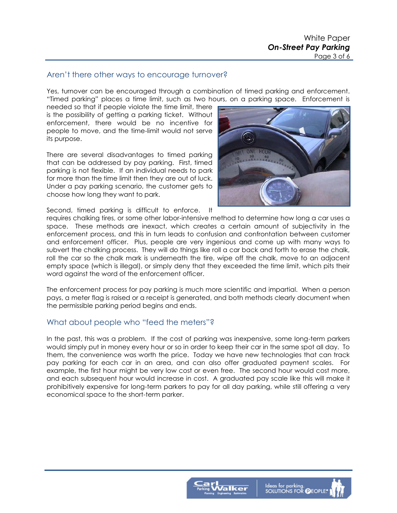## Aren't there other ways to encourage turnover?

Yes, turnover can be encouraged through a combination of timed parking and enforcement. "Timed parking" places a time limit, such as two hours, on a parking space. Enforcement is

needed so that if people violate the time limit, there is the possibility of getting a parking ticket. Without enforcement, there would be no incentive for people to move, and the time-limit would not serve its purpose.

There are several disadvantages to timed parking that can be addressed by pay parking. First, timed parking is not flexible. If an individual needs to park for more than the time limit then they are out of luck. Under a pay parking scenario, the customer gets to choose how long they want to park.

Second, timed parking is difficult to enforce. It



requires chalking tires, or some other labor-intensive method to determine how long a car uses a space. These methods are inexact, which creates a certain amount of subjectivity in the enforcement process, and this in turn leads to confusion and confrontation between customer and enforcement officer. Plus, people are very ingenious and come up with many ways to subvert the chalking process. They will do things like roll a car back and forth to erase the chalk, roll the car so the chalk mark is underneath the tire, wipe off the chalk, move to an adjacent empty space (which is illegal), or simply deny that they exceeded the time limit, which pits their word against the word of the enforcement officer.

The enforcement process for pay parking is much more scientific and impartial. When a person pays, a meter flag is raised or a receipt is generated, and both methods clearly document when the permissible parking period begins and ends.

### What about people who "feed the meters"?

In the past, this was a problem. If the cost of parking was inexpensive, some long-term parkers would simply put in money every hour or so in order to keep their car in the same spot all day. To them, the convenience was worth the price. Today we have new technologies that can track pay parking for each car in an area, and can also offer graduated payment scales. For example, the first hour might be very low cost or even free. The second hour would cost more, and each subsequent hour would increase in cost. A graduated pay scale like this will make it prohibitively expensive for long-term parkers to pay for all day parking, while still offering a very economical space to the short-term parker.

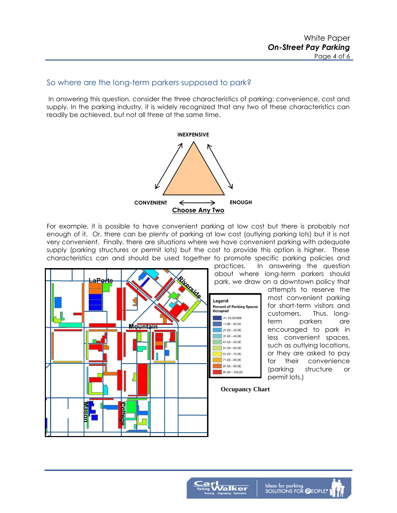## So where are the long-term parkers supposed to park?

 In answering this question, consider the three characteristics of parking: convenience, cost and supply. In the parking industry, it is widely recognized that any two of these characteristics can readily be achieved, but not all three at the same time.



For example, it is possible to have convenient parking at low cost but there is probably not enough of it. Or, there can be plenty of parking at low cost (outlying parking lots) but it is not very convenient. Finally, there are situations where we have convenient parking with adequate supply (parking structures or permit lots) but the cost to provide this option is higher. These characteristics can and should be used together to promote specific parking policies and

> practices. In answering the question about where long-term parkers should park, we draw on a downtown policy that

attempts to reserve the most convenient parking for short-term visitors and customers. Thus, longterm parkers are encouraged to park in less convenient spaces, such as outlying locations, or they are asked to pay for their convenience (parking structure or permit lots.)



**Occupancy Chart** 

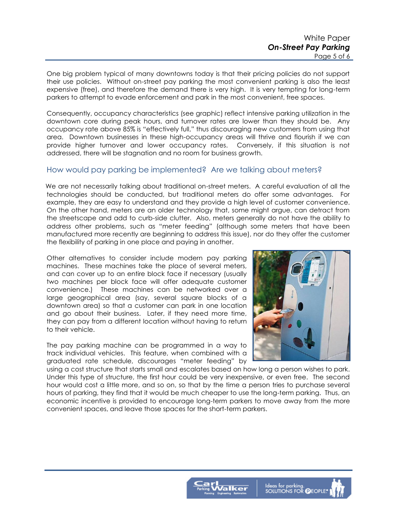One big problem typical of many downtowns today is that their pricing policies do not support their use policies. Without on-street pay parking the most convenient parking is also the least expensive (free), and therefore the demand there is very high. It is very tempting for long-term parkers to attempt to evade enforcement and park in the most convenient, free spaces.

Consequently, occupancy characteristics (see graphic) reflect intensive parking utilization in the downtown core during peak hours, and turnover rates are lower than they should be. Any occupancy rate above 85% is "effectively full," thus discouraging new customers from using that area. Downtown businesses in these high-occupancy areas will thrive and flourish if we can provide higher turnover and lower occupancy rates. Conversely, if this situation is not addressed, there will be stagnation and no room for business growth.

### How would pay parking be implemented? Are we talking about meters?

 We are not necessarily talking about traditional on-street meters. A careful evaluation of all the technologies should be conducted, but traditional meters do offer some advantages. For example, they are easy to understand and they provide a high level of customer convenience. On the other hand, meters are an older technology that, some might argue, can detract from the streetscape and add to curb-side clutter. Also, meters generally do not have the ability to address other problems, such as "meter feeding" (although some meters that have been manufactured more recently are beginning to address this issue), nor do they offer the customer the flexibility of parking in one place and paying in another.

Other alternatives to consider include modern pay parking machines. These machines take the place of several meters, and can cover up to an entire block face if necessary (usually two machines per block face will offer adequate customer convenience.) These machines can be networked over a large geographical area (say, several square blocks of a downtown area) so that a customer can park in one location and go about their business. Later, if they need more time, they can pay from a different location without having to return to their vehicle.

The pay parking machine can be programmed in a way to track individual vehicles. This feature, when combined with a graduated rate schedule, discourages "meter feeding" by



using a cost structure that starts small and escalates based on how long a person wishes to park. Under this type of structure, the first hour could be very inexpensive, or even free. The second hour would cost a little more, and so on, so that by the time a person tries to purchase several hours of parking, they find that it would be much cheaper to use the long-term parking. Thus, an economic incentive is provided to encourage long-term parkers to move away from the more convenient spaces, and leave those spaces for the short-term parkers.